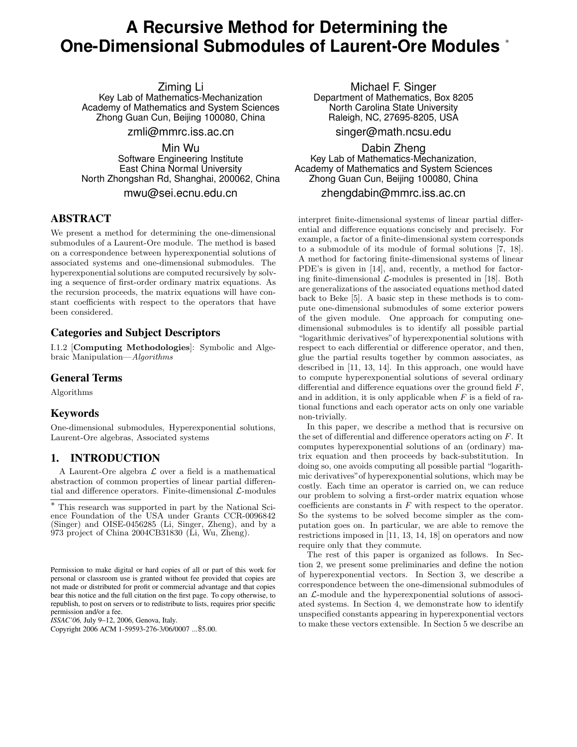# **A Recursive Method for Determining the One-Dimensional Submodules of Laurent-Ore Modules** <sup>∗</sup>

Ziming Li

Key Lab of Mathematics-Mechanization Academy of Mathematics and System Sciences Zhong Guan Cun, Beijing 100080, China

zmli@mmrc.iss.ac.cn

Min Wu Software Engineering Institute East China Normal University North Zhongshan Rd, Shanghai, 200062, China

mwu@sei.ecnu.edu.cn

# **ABSTRACT**

We present a method for determining the one-dimensional submodules of a Laurent-Ore module. The method is based on a correspondence between hyperexponential solutions of associated systems and one-dimensional submodules. The hyperexponential solutions are computed recursively by solving a sequence of first-order ordinary matrix equations. As the recursion proceeds, the matrix equations will have constant coefficients with respect to the operators that have been considered.

# **Categories and Subject Descriptors**

I.1.2 [Computing Methodologies]: Symbolic and Algebraic Manipulation—Algorithms

## **General Terms**

Algorithms

## **Keywords**

One-dimensional submodules, Hyperexponential solutions, Laurent-Ore algebras, Associated systems

## **1. INTRODUCTION**

A Laurent-Ore algebra  $\mathcal L$  over a field is a mathematical abstraction of common properties of linear partial differential and difference operators. Finite-dimensional  $\mathcal{L}\text{-modules}$ 

*ISSAC'06,* July 9–12, 2006, Genova, Italy.

Copyright 2006 ACM 1-59593-276-3/06/0007 ...\$5.00.

Michael F. Singer Department of Mathematics, Box 8205 North Carolina State University Raleigh, NC, 27695-8205, USA

singer@math.ncsu.edu

Dabin Zheng Key Lab of Mathematics-Mechanization, Academy of Mathematics and System Sciences Zhong Guan Cun, Beijing 100080, China zhengdabin@mmrc.iss.ac.cn

interpret finite-dimensional systems of linear partial differential and difference equations concisely and precisely. For example, a factor of a finite-dimensional system corresponds to a submodule of its module of formal solutions [7, 18]. A method for factoring finite-dimensional systems of linear PDE's is given in [14], and, recently, a method for factoring finite-dimensional  $\mathcal{L}$ -modules is presented in [18]. Both are generalizations of the associated equations method dated back to Beke [5]. A basic step in these methods is to compute one-dimensional submodules of some exterior powers of the given module. One approach for computing onedimensional submodules is to identify all possible partial "logarithmic derivatives"of hyperexponential solutions with respect to each differential or difference operator, and then, glue the partial results together by common associates, as described in [11, 13, 14]. In this approach, one would have to compute hyperexponential solutions of several ordinary differential and difference equations over the ground field  $F$ , and in addition, it is only applicable when  $F$  is a field of rational functions and each operator acts on only one variable non-trivially.

In this paper, we describe a method that is recursive on the set of differential and difference operators acting on F. It computes hyperexponential solutions of an (ordinary) matrix equation and then proceeds by back-substitution. In doing so, one avoids computing all possible partial "logarithmic derivatives"of hyperexponential solutions, which may be costly. Each time an operator is carried on, we can reduce our problem to solving a first-order matrix equation whose coefficients are constants in  $F$  with respect to the operator. So the systems to be solved become simpler as the computation goes on. In particular, we are able to remove the restrictions imposed in [11, 13, 14, 18] on operators and now require only that they commute.

The rest of this paper is organized as follows. In Section 2, we present some preliminaries and define the notion of hyperexponential vectors. In Section 3, we describe a correspondence between the one-dimensional submodules of an  $\mathcal{L}\text{-module}$  and the hyperexponential solutions of associated systems. In Section 4, we demonstrate how to identify unspecified constants appearing in hyperexponential vectors to make these vectors extensible. In Section 5 we describe an

<sup>∗</sup> This research was supported in part by the National Science Foundation of the USA under Grants CCR-0096842 (Singer) and OISE-0456285 (Li, Singer, Zheng), and by a 973 project of China 2004CB31830 (Li, Wu, Zheng).

Permission to make digital or hard copies of all or part of this work for personal or classroom use is granted without fee provided that copies are not made or distributed for profit or commercial advantage and that copies bear this notice and the full citation on the first page. To copy otherwise, to republish, to post on servers or to redistribute to lists, requires prior specific permission and/or a fee.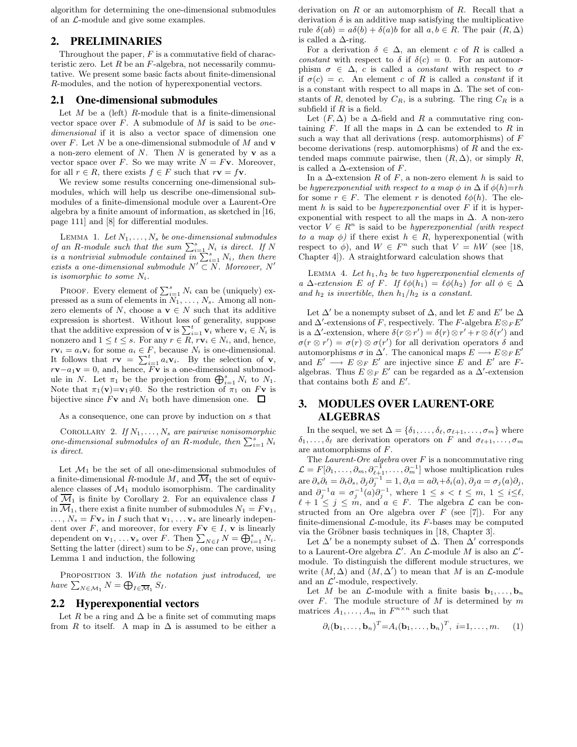algorithm for determining the one-dimensional submodules of an L-module and give some examples.

## **2. PRELIMINARIES**

Throughout the paper,  $F$  is a commutative field of characteristic zero. Let  $R$  be an  $F$ -algebra, not necessarily commutative. We present some basic facts about finite-dimensional R-modules, and the notion of hyperexponential vectors.

#### **2.1 One-dimensional submodules**

Let  $M$  be a (left)  $R$ -module that is a finite-dimensional vector space over  $F$ . A submodule of  $M$  is said to be onedimensional if it is also a vector space of dimension one over  $F$ . Let  $N$  be a one-dimensional submodule of  $M$  and  $\bf{v}$ a non-zero element of  $N$ . Then  $N$  is generated by  $\mathbf v$  as a vector space over F. So we may write  $N = Fv$ . Moreover, for all  $r \in R$ , there exists  $f \in F$  such that  $r\mathbf{v} = f\mathbf{v}$ .

We review some results concerning one-dimensional submodules, which will help us describe one-dimensional submodules of a finite-dimensional module over a Laurent-Ore algebra by a finite amount of information, as sketched in [16, page 111] and [8] for differential modules.

LEMMA 1. Let  $N_1, \ldots, N_s$  be one-dimensional submodules of an R-module such that the sum  $\sum_{i=1}^{s} N_i$  is direct. If N is a nontrivial submodule contained  $\overline{in} \sum_{i=1}^{n} N_i$ , then there exists a one-dimensional submodule  $N' \subset N$ . Moreover, N' is isomorphic to some  $N_i$ .

PROOF. Every element of  $\sum_{i=1}^{s} N_i$  can be (uniquely) expressed as a sum of elements in  $N_1, \ldots, N_s$ . Among all nonzero elements of N, choose a  $\mathbf{v} \in N$  such that its additive expression is shortest. Without loss of generality, suppose that the additive expression of **v** is  $\sum_{i=1}^{t} \mathbf{v}_i$  where  $\mathbf{v}_i \in N_i$  is nonzero and  $1 \leq t \leq s$ . For any  $r \in R$ ,  $r\mathbf{v}_i \in N_i$ , and, hence,  $r\mathbf{v}_i = a_i \mathbf{v}_i$  for some  $a_i \in F$ , because  $N_i$  is one-dimensional. It follows that  $r\mathbf{v} = \sum_{i=1}^{t} a_i \mathbf{v}_i$ . By the selection of  $\mathbf{v}$ ,  $r\mathbf{v}-a_1\mathbf{v}=0$ , and, hence,  $F\mathbf{v}$  is a one-dimensional submodule in N. Let  $\pi_1$  be the projection from  $\bigoplus_{i=1}^s N_i$  to  $N_1$ . Note that  $\pi_1(\mathbf{v})=\mathbf{v}_1\neq0$ . So the restriction of  $\pi_1$  on Fv is bijective since  $F$ **v** and  $N_1$  both have dimension one.  $\Box$ 

As a consequence, one can prove by induction on s that

COROLLARY 2. If  $N_1, \ldots, N_s$  are pairwise nonisomorphic one-dimensional submodules of an R-module, then  $\sum_{i=1}^{s} N_i$ is direct.

Let  $\mathcal{M}_1$  be the set of all one-dimensional submodules of a finite-dimensional R-module M, and  $\overline{\mathcal{M}}_1$  the set of equivalence classes of  $\mathcal{M}_1$  modulo isomorphism. The cardinality of  $\overline{\mathcal{M}}_1$  is finite by Corollary 2. For an equivalence class I in  $\overline{\mathcal{M}}_1$ , there exist a finite number of submodules  $N_1 = F_{\mathbf{V}_1}$ ,  $\ldots, N_s = Fv_s$  in I such that  $v_1, \ldots v_s$  are linearly independent over F, and moreover, for every  $F\mathbf{v} \in I$ ,  $\mathbf{v}$  is linearly dependent on  $\mathbf{v}_1, \ldots \mathbf{v}_s$  over F. Then  $\sum_{N \in I} N = \bigoplus_{i=1}^s N_i$ . Setting the latter (direct) sum to be  $S_I$ , one can prove, using Lemma 1 and induction, the following

PROPOSITION 3. With the notation just introduced, we have  $\sum_{N \in \mathcal{M}_1} N = \bigoplus_{I \in \overline{\mathcal{M}}_1} S_I$ .

#### **2.2 Hyperexponential vectors**

Let R be a ring and  $\Delta$  be a finite set of commuting maps from R to itself. A map in  $\Delta$  is assumed to be either a derivation on  $R$  or an automorphism of  $R$ . Recall that a derivation  $\delta$  is an additive map satisfying the multiplicative rule  $\delta(ab) = a\delta(b) + \delta(a)b$  for all  $a, b \in R$ . The pair  $(R, \Delta)$ is called a  $\Delta$ -ring.

For a derivation  $\delta \in \Delta$ , an element c of R is called a constant with respect to  $\delta$  if  $\delta(c) = 0$ . For an automorphism  $\sigma \in \Delta$ , c is called a *constant* with respect to  $\sigma$ if  $\sigma(c) = c$ . An element c of R is called a constant if it is a constant with respect to all maps in  $\Delta$ . The set of constants of R, denoted by  $C_R$ , is a subring. The ring  $C_R$  is a subfield if  $R$  is a field.

Let  $(F, \Delta)$  be a  $\Delta$ -field and R a commutative ring containing F. If all the maps in  $\Delta$  can be extended to R in such a way that all derivations (resp. automorphisms) of  $F$ become derivations (resp. automorphisms) of  $R$  and the extended maps commute pairwise, then  $(R, \Delta)$ , or simply R, is called a  $\Delta$ -extension of F.

In a  $\Delta$ -extension R of F, a non-zero element h is said to be hyperexponential with respect to a map  $\phi$  in  $\Delta$  if  $\phi(h)=rh$ for some  $r \in F$ . The element r is denoted  $\ell \phi(h)$ . The element  $h$  is said to be *hyperexponential* over  $F$  if it is hyperexponential with respect to all the maps in  $\Delta$ . A non-zero vector  $V \in \mathbb{R}^n$  is said to be hyperexponential (with respect to a map  $\phi$ ) if there exist  $h \in R$ , hyperexponential (with respect to  $\phi$ ), and  $W \in F^n$  such that  $V = hW$  (see [18, Chapter 4]). A straightforward calculation shows that

LEMMA 4. Let  $h_1, h_2$  be two hyperexponential elements of a  $\Delta$ -extension E of F. If  $\ell \phi(h_1) = \ell \phi(h_2)$  for all  $\phi \in \Delta$ and  $h_2$  is invertible, then  $h_1/h_2$  is a constant.

Let  $\Delta'$  be a nonempty subset of  $\Delta$ , and let E and E' be  $\Delta$ and  $\Delta'$ -extensions of F, respectively. The F-algebra  $E \otimes_F E'$ is a  $\Delta'$ -extension, where  $\delta(r \otimes r') = \delta(r) \otimes r' + r \otimes \delta(r')$  and  $\sigma(r \otimes r') = \sigma(r) \otimes \sigma(r')$  for all derivation operators  $\delta$  and automorphisms  $\sigma$  in  $\Delta'$ . The canonical maps  $E \longrightarrow E \otimes_F E'$ and  $E' \longrightarrow E \otimes_F E'$  are injective since E and E' are Falgebras. Thus  $E \otimes_F E'$  can be regarded as a  $\Delta'$ -extension that contains both  $E$  and  $E'$ .

# **3. MODULES OVER LAURENT-ORE ALGEBRAS**

In the sequel, we set  $\Delta = \{\delta_1, \ldots, \delta_\ell, \sigma_{\ell+1}, \ldots, \sigma_m\}$  where  $\delta_1, \ldots, \delta_\ell$  are derivation operators on F and  $\sigma_{\ell+1}, \ldots, \sigma_m$ are automorphisms of F.

The Laurent-Ore algebra over  $F$  is a noncommutative ring  $\mathcal{L} = F[\partial_1, \ldots, \partial_m, \partial_{\ell+1}^{-1}, \ldots, \partial_m^{-1}]$  whose multiplication rules are  $\partial_s \partial_t = \partial_t \partial_s$ ,  $\partial_j \partial_j^{-1} = 1$ ,  $\partial_i a = a \partial_i + \delta_i(a)$ ,  $\partial_j a = \sigma_j(a) \partial_j$ , and  $\partial_j^{-1}a = \sigma_j^{-1}(a)\partial_j^{-1}$ , where  $1 \leq s < t \leq m, 1 \leq i \leq \ell$ ,  $\ell + 1 \leq j \leq m$ , and  $a \in F$ . The algebra  $\mathcal L$  can be constructed from an Ore algebra over  $F$  (see [7]). For any finite-dimensional  $\mathcal{L}$ -module, its  $F$ -bases may be computed via the Gröbner basis techniques in  $[18, Chapter 3]$ .

Let  $\Delta'$  be a nonempty subset of  $\Delta$ . Then  $\Delta'$  corresponds to a Laurent-Ore algebra  $\mathcal{L}'$ . An  $\mathcal{L}$ -module M is also an  $\mathcal{L}'$ module. To distinguish the different module structures, we write  $(M, \Delta)$  and  $(M, \Delta')$  to mean that M is an  $\mathcal{L}$ -module and an  $\mathcal{L}'$ -module, respectively.

Let M be an  $\mathcal{L}\text{-module with a finite basis } \mathbf{b}_1, \ldots, \mathbf{b}_n$ over  $F$ . The module structure of  $M$  is determined by  $m$ matrices  $A_1, \ldots, A_m$  in  $F^{n \times n}$  such that

$$
\partial_i(\mathbf{b}_1,\ldots,\mathbf{b}_n)^T\!=\!A_i(\mathbf{b}_1,\ldots,\mathbf{b}_n)^T,\ i=1,\ldots,m.\qquad(1)
$$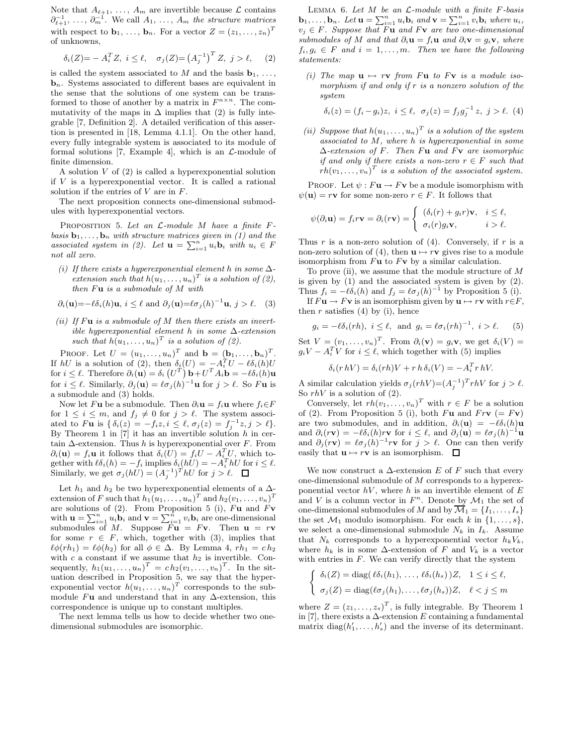Note that  $A_{\ell+1}, \ldots, A_m$  are invertible because  $\mathcal L$  contains  $\partial_{\ell+1}^{-1}, \ldots, \partial_m^{-1}$ . We call  $A_1, \ldots, A_m$  the structure matrices with respect to  $\mathbf{b}_1, \ldots, \mathbf{b}_n$ . For a vector  $Z = (z_1, \ldots, z_n)^T$ of unknowns,

$$
\delta_i(Z) = -A_i^T Z, \ i \leq \ell, \quad \sigma_j(Z) = (A_j^{-1})^T Z, \ j > \ell, \quad (2)
$$

is called the system associated to M and the basis  $\mathbf{b}_1, \ldots,$ **. Systems associated to different bases are equivalent in** the sense that the solutions of one system can be transformed to those of another by a matrix in  $F^{n \times n}$ . The commutativity of the maps in  $\Delta$  implies that (2) is fully integrable [7, Definition 2]. A detailed verification of this assertion is presented in [18, Lemma 4.1.1]. On the other hand, every fully integrable system is associated to its module of formal solutions [7, Example 4], which is an  $\mathcal{L}\text{-module of}$ finite dimension.

A solution  $V$  of  $(2)$  is called a hyperexponential solution if  $V$  is a hyperexponential vector. It is called a rational solution if the entries of  $V$  are in  $F$ .

The next proposition connects one-dimensional submodules with hyperexponential vectors.

PROPOSITION 5. Let an  $\mathcal{L}\text{-module }M$  have a finite  $F$ basis  $\mathbf{b}_1, \ldots, \mathbf{b}_n$  with structure matrices given in (1) and the associated system in (2). Let  $\mathbf{u} = \sum_{i=1}^{n} u_i \mathbf{b}_i$  with  $u_i \in F$ not all zero.

(i) If there exists a hyperexponential element h in some  $\Delta$ extension such that  $h(u_1, \ldots, u_n)^T$  is a solution of (2), then  $F\mathbf{u}$  is a submodule of  $M$  with

$$
\partial_i(\mathbf{u}) = -\ell \delta_i(h)\mathbf{u}, i \leq \ell \text{ and } \partial_j(\mathbf{u}) = \ell \sigma_j(h)^{-1}\mathbf{u}, j > \ell.
$$
 (3)

(ii) If  $F$ **u** is a submodule of  $M$  then there exists an invertible hyperexponential element h in some  $\Delta$ -extension such that  $h(u_1, \ldots, u_n)^T$  is a solution of (2).

PROOF. Let  $U = (u_1, \ldots, u_n)^T$  and  $\mathbf{b} = (\mathbf{b}_1, \ldots, \mathbf{b}_n)^T$ . If  $hU$  is a solution of (2), then  $\delta_i(U) = -A_i^T U - \ell \delta_i(h)U$ for  $i \leq \ell$ . Therefore  $\partial_i(\mathbf{u}) = \delta_i (U^T) \mathbf{b} + U^T A_i \mathbf{b} = -\ell \delta_i(h)\mathbf{u}$ for  $i \leq \ell$ . Similarly,  $\partial_j(\mathbf{u}) = \ell \sigma_j(h)^{-1} \mathbf{u}$  for  $j > \ell$ . So Fu is a submodule and (3) holds.

Now let Fu be a submodule. Then  $\partial_i \mathbf{u} = f_i \mathbf{u}$  where  $f_i \in F$ for  $1 \leq i \leq m$ , and  $f_j \neq 0$  for  $j > \ell$ . The system associated to Fu is  $\{\delta_i(z) = -f_i z, i \leq \ell, \sigma_j(z) = f_j^{-1} z, j > \ell\}.$ By Theorem 1 in [7] it has an invertible solution  $h$  in certain  $\Delta$ -extension. Thus h is hyperexponential over F. From  $\partial_i(\mathbf{u}) = f_i \mathbf{u}$  it follows that  $\delta_i(U) = f_i U - A_i^T U$ , which together with  $\ell \delta_i(h) = -f_i$  implies  $\delta_i(hU) = -A_i^T hU$  for  $i \leq \ell$ . Similarly, we get  $\sigma_j(hU) = (A_j^{-1})^T hU$  for  $j > \ell$ .

Let  $h_1$  and  $h_2$  be two hyperexponential elements of a  $\Delta$ extension of F such that  $h_1(u_1, \ldots, u_n)^T$  and  $h_2(v_1, \ldots, v_n)^T$ are solutions of (2). From Proposition 5 (i),  $F$ **u** and  $F$ **v** with  $\mathbf{u} = \sum_{i=1}^{n} u_i \mathbf{b}_i$  and  $\mathbf{v} = \sum_{i=1}^{n} v_i \mathbf{b}_i$  are one-dimensional submodules of M. Suppose  $F\mathbf{u} = F\mathbf{v}$ . Then  $\mathbf{u} = r\mathbf{v}$ for some  $r \in F$ , which, together with (3), implies that  $\ell\phi(rh_1) = \ell\phi(h_2)$  for all  $\phi \in \Delta$ . By Lemma 4,  $rh_1 = ch_2$ with c a constant if we assume that  $h_2$  is invertible. Consequently,  $h_1(u_1,\ldots,u_n)^T = ch_2(v_1,\ldots,v_n)^T$ . In the situation described in Proposition 5, we say that the hyperexponential vector  $h(u_1, \ldots, u_n)^T$  corresponds to the submodule Fu and understand that in any  $\Delta$ -extension, this correspondence is unique up to constant multiples.

The next lemma tells us how to decide whether two onedimensional submodules are isomorphic.

LEMMA 6. Let  $M$  be an  $\mathcal{L}\text{-module with a finite }F\text{-basis}$  $\mathbf{b}_1,\ldots,\mathbf{b}_n$ . Let  $\mathbf{u} = \sum_{i=1}^n u_i \mathbf{b}_i$  and  $\mathbf{v} = \sum_{i=1}^n v_i \mathbf{b}_i$  where  $u_i$ ,  $v_j \in F$ . Suppose that Fu and Fv are two one-dimensional submodules of M and that  $\partial_i \mathbf{u} = f_i \mathbf{u}$  and  $\partial_i \mathbf{v} = g_i \mathbf{v}$ , where  $f_i, g_i \in F$  and  $i = 1, \ldots, m$ . Then we have the following statements:

(i) The map  $\mathbf{u} \mapsto r\mathbf{v}$  from Fu to Fv is a module isomorphism if and only if r is a nonzero solution of the system

$$
\delta_i(z) = (f_i - g_i)z, \ i \leq \ell, \ \sigma_j(z) = f_j g_j^{-1} z, \ j > \ell. \ (4)
$$

(ii) Suppose that  $h(u_1, \ldots, u_n)^T$  is a solution of the system associated to  $M$ , where  $h$  is hyperexponential in some ∆-extension of F. Then Fu and Fv are isomorphic if and only if there exists a non-zero  $r \in F$  such that  $rh(v_1, \ldots, v_n)^T$  is a solution of the associated system.

PROOF. Let  $\psi : F$ **u**  $\rightarrow$  F**v** be a module isomorphism with  $\psi(\mathbf{u}) = r\mathbf{v}$  for some non-zero  $r \in F$ . It follows that

$$
\psi(\partial_i \mathbf{u}) = f_i r \mathbf{v} = \partial_i (r \mathbf{v}) = \begin{cases} (\delta_i(r) + g_i r) \mathbf{v}, & i \leq \ell, \\ \sigma_i(r) g_i \mathbf{v}, & i > \ell. \end{cases}
$$

Thus r is a non-zero solution of  $(4)$ . Conversely, if r is a non-zero solution of (4), then  $\mathbf{u} \mapsto r\mathbf{v}$  gives rise to a module isomorphism from  $F\mathbf{u}$  to  $F\mathbf{v}$  by a similar calculation.

To prove (ii), we assume that the module structure of  $M$ is given by (1) and the associated system is given by (2). Thus  $f_i = -\ell \delta_i(h)$  and  $f_j = \ell \sigma_j(h)^{-1}$  by Proposition 5 (i).

If  $F\mathbf{u} \to F\mathbf{v}$  is an isomorphism given by  $\mathbf{u} \mapsto r\mathbf{v}$  with  $r \in F$ , then  $r$  satisfies (4) by (i), hence

$$
g_i = -\ell \delta_i(rh), \ i \leq \ell, \text{ and } g_i = \ell \sigma_i(rh)^{-1}, \ i > \ell. \tag{5}
$$

Set  $V = (v_1, \ldots, v_n)^T$ . From  $\partial_i(\mathbf{v}) = g_i \mathbf{v}$ , we get  $\delta_i(V) =$  $g_i V - A_i^T V$  for  $i \leq \ell$ , which together with (5) implies

$$
\delta_i(r h V) = \delta_i(r h) V + r h \, \delta_i(V) = -A_i^T r h V.
$$

A similar calculation yields  $\sigma_j(rhV) = (A_j^{-1})^T rhV$  for  $j > \ell$ . So  $rhV$  is a solution of (2).

Conversely, let  $rh(v_1, \ldots, v_n)^T$  with  $r \in F$  be a solution of (2). From Proposition 5 (i), both Fu and Frv  $(= F<sub>V</sub>)$ are two submodules, and in addition,  $\partial_i(\mathbf{u}) = -\ell \delta_i(h)\mathbf{u}$ and  $\partial_i(r\mathbf{v}) = -\ell \delta_i(h) r\mathbf{v}$  for  $i \leq \ell$ , and  $\partial_j(\mathbf{u}) = \ell \sigma_j(h)^{-1}\mathbf{u}$ and  $\partial_j (r \mathbf{v}) = \ell \sigma_j (h)^{-1} r \mathbf{v}$  for  $j > \ell$ . One can then verify easily that  $\mathbf{u} \mapsto r\mathbf{v}$  is an isomorphism.  $\Box$ 

We now construct a  $\Delta$ -extension E of F such that every one-dimensional submodule of M corresponds to a hyperexponential vector  $hV$ , where h is an invertible element of E and V is a column vector in  $F<sup>n</sup>$ . Denote by  $\mathcal{M}_1$  the set of one-dimensional submodules of M and by  $\overline{\mathcal{M}}_1 = \{I_1, \ldots, I_s\}$ the set  $\mathcal{M}_1$  modulo isomorphism. For each k in  $\{1,\ldots,s\}$ , we select a one-dimensional submodule  $N_k$  in  $I_k$ . Assume that  $N_k$  corresponds to a hyperexponential vector  $h_kV_k$ , where  $h_k$  is in some  $\Delta$ -extension of F and  $V_k$  is a vector with entries in  $F$ . We can verify directly that the system

$$
\begin{cases} \delta_i(Z) = \text{diag}(\ell \delta_i(h_1), \dots, \ell \delta_i(h_s))Z, & 1 \leq i \leq \ell, \\ \sigma_j(Z) = \text{diag}(\ell \sigma_j(h_1), \dots, \ell \sigma_j(h_s))Z, & \ell < j \leq m \end{cases}
$$

where  $Z = (z_1, \ldots, z_s)^T$ , is fully integrable. By Theorem 1 in [7], there exists a  $\Delta$ -extension E containing a fundamental matrix  $diag(h'_1, \ldots, h'_s)$  and the inverse of its determinant.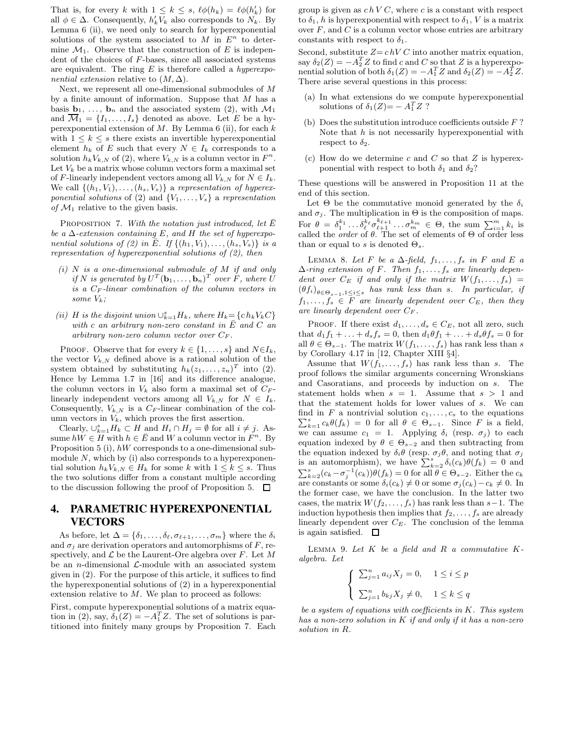That is, for every k with  $1 \leq k \leq s$ ,  $\ell \phi(h_k) = \ell \phi(h'_k)$  for all  $\phi \in \Delta$ . Consequently,  $h'_k V_k$  also corresponds to  $N_k$ . By Lemma 6 (ii), we need only to search for hyperexponential solutions of the system associated to  $M$  in  $E<sup>n</sup>$  to determine  $\mathcal{M}_1$ . Observe that the construction of E is independent of the choices of F-bases, since all associated systems are equivalent. The ring  $E$  is therefore called a *hyperexpo*nential extension relative to  $(M, \Delta)$ .

Next, we represent all one-dimensional submodules of M by a finite amount of information. Suppose that  $M$  has a basis  $\mathbf{b}_1, \ldots, \mathbf{b}_n$  and the associated system (2), with  $\mathcal{M}_1$ and  $\overline{\mathcal{M}}_1 = \{I_1, \ldots, I_s\}$  denoted as above. Let E be a hyperexponential extension of  $M$ . By Lemma 6 (ii), for each  $k$ with  $1 \leq k \leq s$  there exists an invertible hyperexponential element  $h_k$  of E such that every  $N \in I_k$  corresponds to a solution  $h_k V_{k,N}$  of (2), where  $V_{k,N}$  is a column vector in  $F^n$ . Let  $V_k$  be a matrix whose column vectors form a maximal set of F-linearly independent vectors among all  $V_{k,N}$  for  $N \in I_k$ . We call  $\{(h_1, V_1), \ldots, (h_s, V_s)\}\$ a representation of hyperexponential solutions of (2) and  $\{V_1, \ldots, V_s\}$  a representation of  $\mathcal{M}_1$  relative to the given basis.

PROPOSITION 7. With the notation just introduced, let  $\overline{E}$ be a  $\Delta$ -extension containing E, and H the set of hyperexponential solutions of (2) in  $\overline{E}$ . If  $\{(h_1, V_1), \ldots, (h_s, V_s)\}\$ is a representation of hyperexponential solutions of (2), then

- $(i)$  N is a one-dimensional submodule of M if and only if N is generated by  $U^T(\mathbf{b}_1,\ldots,\mathbf{b}_n)^T$  over F, where U is a  $C_F$ -linear combination of the column vectors in some  $V_k$ ;
- (ii) H is the disjoint union  $\bigcup_{k=1}^{s} H_k$ , where  $H_k = \{c \, h_k V_k C\}$ with c an arbitrary non-zero constant in  $\bar{E}$  and C an arbitrary non-zero column vector over  $C_F$ .

PROOF. Observe that for every  $k \in \{1, \ldots, s\}$  and  $N \in I_k$ , the vector  $V_{k,N}$  defined above is a rational solution of the system obtained by substituting  $h_k(z_1, \ldots, z_n)^T$  into (2). Hence by Lemma 1.7 in [16] and its difference analogue, the column vectors in  $V_k$  also form a maximal set of  $C_F$ linearly independent vectors among all  $V_{k,N}$  for  $N \in I_k$ . Consequently,  $V_{k,N}$  is a  $C_F$ -linear combination of the column vectors in  $V_k$ , which proves the first assertion.

Clearly,  $\bigcup_{k=1}^{s} H_k \subset H$  and  $H_i \cap H_j = \emptyset$  for all  $i \neq j$ . Assume  $hW \in \overline{H}$  with  $h \in \overline{E}$  and W a column vector in  $F^n$ . By Proposition 5 (i), hW corresponds to a one-dimensional submodule  $N$ , which by (i) also corresponds to a hyperexponential solution  $h_k V_{k,N} \in H_k$  for some k with  $1 \leq k \leq s$ . Thus the two solutions differ from a constant multiple according to the discussion following the proof of Proposition 5.  $\Box$ 

## **4. PARAMETRIC HYPEREXPONENTIAL VECTORS**

As before, let  $\Delta = {\delta_1, \ldots, \delta_\ell, \sigma_{\ell+1}, \ldots, \sigma_m}$  where the  $\delta_i$ and  $\sigma_i$  are derivation operators and automorphisms of F, respectively, and  $\mathcal L$  be the Laurent-Ore algebra over  $F$ . Let  $M$ be an *n*-dimensional  $\mathcal{L}$ -module with an associated system given in (2). For the purpose of this article, it suffices to find the hyperexponential solutions of (2) in a hyperexponential extension relative to M. We plan to proceed as follows:

First, compute hyperexponential solutions of a matrix equation in (2), say,  $\delta_1(Z) = -A_1^T Z$ . The set of solutions is partitioned into finitely many groups by Proposition 7. Each group is given as  $chVC$ , where c is a constant with respect to  $\delta_1$ , h is hyperexponential with respect to  $\delta_1$ , V is a matrix over  $F$ , and  $C$  is a column vector whose entries are arbitrary constants with respect to  $\delta_1$ .

Second, substitute  $Z = chV C$  into another matrix equation, say  $\delta_2(Z) = -A_2^T Z$  to find c and C so that Z is a hyperexponential solution of both  $\delta_1(Z) = -A_1^T Z$  and  $\delta_2(Z) = -A_2^T Z$ . There arise several questions in this process:

- (a) In what extensions do we compute hyperexponential solutions of  $\delta_1(Z) = -A_1^T Z$  ?
- (b) Does the substitution introduce coefficients outside  $F$ ? Note that  $h$  is not necessarily hyperexponential with respect to  $\delta_2$ .
- (c) How do we determine c and C so that  $Z$  is hyperexponential with respect to both  $\delta_1$  and  $\delta_2$ ?

These questions will be answered in Proposition 11 at the end of this section.

Let  $\Theta$  be the commutative monoid generated by the  $\delta_i$ and  $\sigma_j$ . The multiplication in  $\Theta$  is the composition of maps. For  $\theta = \delta_1^{k_1} \dots \delta_\ell^{k_\ell} \sigma_{\ell+1}^{k_{\ell+1}} \dots \sigma_m^{k_m} \in \Theta$ , the sum  $\sum_{i=1}^m k_i$  is called the *order* of  $\theta$ . The set of elements of  $\Theta$  of order less than or equal to s is denoted  $\Theta_s$ .

LEMMA 8. Let F be a  $\Delta$ -field,  $f_1, \ldots, f_s$  in F and E a  $\Delta$ -ring extension of F. Then  $f_1, \ldots, f_s$  are linearly dependent over  $C_E$  if and only if the matrix  $W(f_1, \ldots, f_s)$  =  $(\theta f_i)_{\theta \in \Theta_{s-1}, 1 \leq i \leq s}$  has rank less than s. In particular, if  $f_1, \ldots, f_s \in \overline{F}$  are linearly dependent over  $C_E$ , then they are linearly dependent over  $C_F$ .

PROOF. If there exist  $d_1, \ldots, d_s \in C_E$ , not all zero, such that  $d_1 f_1 + ... + d_s f_s = 0$ , then  $d_1 \theta f_1 + ... + d_s \theta f_s = 0$  for all  $\theta \in \Theta_{s-1}$ . The matrix  $W(f_1, \ldots, f_s)$  has rank less than s by Corollary 4.17 in [12, Chapter XIII §4].

Assume that  $W(f_1, \ldots, f_s)$  has rank less than s. The proof follows the similar arguments concerning Wronskians and Casoratians, and proceeds by induction on s. The statement holds when  $s = 1$ . Assume that  $s > 1$  and that the statement holds for lower values of s. We can find in F a nontrivial solution  $c_1, \ldots, c_s$  to the equations  $\sum_{k=1}^{s} c_k \theta(f_k) = 0$  for all  $\theta \in \Theta_{s-1}$ . Since F is a field, we can assume  $c_1 = 1$ . Applying  $\delta_i$  (resp.  $\sigma_j$ ) to each equation indexed by  $\theta \in \Theta_{s-2}$  and then subtracting from the equation indexed by  $\delta_i \theta$  (resp.  $\sigma_j \theta$ , and noting that  $\sigma_j$ is an automorphism), we have  $\sum_{k=2}^{s} \delta_i(c_k) \theta(f_k) = 0$  and  $\sum_{k=2}^{s} (c_k - \sigma_j^{-1}(c_k)) \theta(f_k) = 0$  for all  $\theta \in \Theta_{s-2}$ . Either the  $c_k$ are constants or some  $\delta_i(c_k) \neq 0$  or some  $\sigma_j(c_k) - c_k \neq 0$ . In the former case, we have the conclusion. In the latter two cases, the matrix  $W(f_2, \ldots, f_s)$  has rank less than  $s-1$ . The induction hypothesis then implies that  $f_2, \ldots, f_s$  are already linearly dependent over  $C_E$ . The conclusion of the lemma is again satisfied.  $\square$ 

LEMMA 9. Let  $K$  be a field and  $R$  a commutative  $K$ algebra. Let

$$
\begin{cases} \sum_{j=1}^{n} a_{ij} X_j = 0, & 1 \leq i \leq p \\ \sum_{j=1}^{n} b_{kj} X_j \neq 0, & 1 \leq k \leq q \end{cases}
$$

be a system of equations with coefficients in K. This system has a non-zero solution in  $K$  if and only if it has a non-zero solution in R.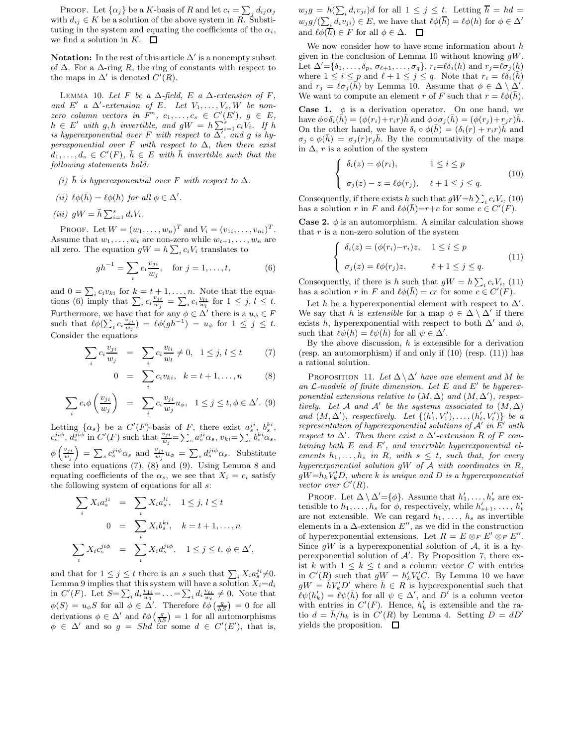PROOF. Let  $\{\alpha_j\}$  be a K-basis of R and let  $c_i = \sum_j d_{ij} \alpha_j$ with  $d_{ij} \in K$  be a solution of the above system in  $R$ . Substituting in the system and equating the coefficients of the  $\alpha_i$ , we find a solution in K.  $\Box$ 

**Notation:** In the rest of this article  $\Delta'$  is a nonempty subset of  $\Delta$ . For a  $\Delta$ -ring R, the ring of constants with respect to the maps in  $\Delta'$  is denoted  $C'(R)$ .

LEMMA 10. Let F be a  $\Delta$ -field, E a  $\Delta$ -extension of F, and E' a  $\Delta'$ -extension of E. Let  $V_1, \ldots, V_s, W$  be nonzero column vectors in  $F^n$ ,  $c_1, \ldots, c_s \in C'(E')$ ,  $g \in E$ ,  $h \in E'$  with g, h invertible, and  $gW = h \sum_{i=1}^{s} c_i V_i$ . If h is hyperexponential over F with respect to  $\overline{\Delta'}$ , and g is hyperexponential over F with respect to  $\Delta$ , then there exist  $d_1, \ldots, d_s \in C'(F), \bar{h} \in E$  with  $\bar{h}$  invertible such that the following statements hold:

- (i) h is hyperexponential over F with respect to  $\Delta$ .
- (ii)  $\ell \phi(\bar{h}) = \ell \phi(h)$  for all  $\phi \in \Delta'$ .

$$
(iii) \t gW = \bar{h} \sum_{i=1}^{s} d_i V_i.
$$

PROOF. Let  $W = (w_1, ..., w_n)^T$  and  $V_i = (v_{1i}, ..., v_{ni})^T$ . Assume that  $w_1, \ldots, w_t$  are non-zero while  $w_{t+1}, \ldots, w_n$  are all zero. The equation  $gW = h \sum_i c_i V_i$  translates to

$$
gh^{-1} = \sum_{i} c_i \frac{v_{ji}}{w_j}, \text{ for } j = 1, ..., t,
$$
 (6)

and  $0 = \sum_i c_i v_{ki}$  for  $\underline{k} = t + 1, \ldots, n$ . Note that the equations (6) imply that  $\sum_i c_i \frac{v_{ji}}{w_i}$  $\frac{v_{ji}}{w_j} = \sum_i c_i \frac{v_{li}}{w_l}$  for  $1 \leq j, l \leq t$ . Furthermore, we have that for any  $\phi \in \Delta'$  there is a  $u_{\phi} \in F$ such that  $\ell \phi(\sum_i c_i \frac{v_{ji}}{w_i})$  $\frac{v_{ji}}{w_j}$ ) =  $\ell \phi (gh^{-1}) = u_{\phi}$  for  $1 \leq j \leq t$ . Consider the equations

$$
\sum_{i} c_i \frac{v_{ji}}{w_j} = \sum_{i} c_i \frac{v_{li}}{w_l} \neq 0, \quad 1 \leq j, l \leq t \tag{7}
$$

$$
0 = \sum_{i} c_i v_{ki}, \quad k = t + 1, ..., n \quad (8)
$$

$$
\sum_{i} c_i \phi\left(\frac{v_{ji}}{w_j}\right) = \sum_{i} c_i \frac{v_{ji}}{w_j} u_{\phi}, \quad 1 \le j \le t, \phi \in \Delta'.\tag{9}
$$

Letting  $\{\alpha_s\}$  be a  $C'(F)$ -basis of F, there exist  $a_s^{ji}, b_s^{ki},$  $c_s^{ji\phi}, d_s^{ji\phi}$  in  $C'(F)$  such that  $\frac{v_{ji}}{w_j} = \sum_s a_s^{ji} \alpha_s, v_{ki} = \sum_s b_s^{ki} \alpha_s,$  $\phi\left(\frac{v_{ji}}{w}\right)$  $\left(\frac{v_{ji}}{w_j}\right) = \sum_s c_s^{ji\phi} \alpha_s$  and  $\frac{v_{ji}}{w_j} u_{\phi} = \sum_s d_s^{ji\phi} \alpha_s$ . Substitute these into equations (7), (8) and (9). Using Lemma 8 and equating coefficients of the  $\alpha_s$ , we see that  $X_i = c_i$  satisfy the following system of equations for all s:

$$
\sum_{i} X_i a_s^{ji} = \sum_{i} X_i a_s^{li}, \quad 1 \le j, l \le t
$$

$$
0 = \sum_{i} X_i b_s^{ki}, \quad k = t + 1, ..., n
$$

$$
\sum_{i} X_i c_s^{ji\phi} = \sum_{i} X_i d_s^{ji\phi}, \quad 1 \le j \le t, \phi \in \Delta',
$$

and that for  $1 \leq j \leq t$  there is an s such that  $\sum_i X_i a_s^{ji} \neq 0$ . Lemma 9 implies that this system will have a solution  $X_i = d_i$ in  $C'(F)$ . Let  $S = \sum_i d_i \frac{v_{1i}}{w_1} = \ldots = \sum_i d_i \frac{v_{1i}}{w_t} \neq 0$ . Note that  $\phi(S) = u_{\phi} S$  for all  $\phi \in \Delta'$ . Therefore  $\ell \phi \left(\frac{g}{hS}\right) = 0$  for all derivations  $\phi \in \Delta'$  and  $\ell \phi \left( \frac{g}{hS} \right) = 1$  for all automorphisms  $\phi \in \Delta'$  and so  $g = Shd$  for some  $d \in C'(E')$ , that is,

 $w_j g = h(\sum_i d_i v_{ji})d$  for all  $1 \leq j \leq t$ . Letting  $h = hd =$  $w_j g/(\sum_i d_i v_{ji}) \in E$ , we have that  $\ell \phi(\overline{h}) = \ell \phi(h)$  for  $\phi \in \Delta'$ and  $\ell \phi(\overline{h}) \in F$  for all  $\phi \in \Delta$ .  $\Box$ 

We now consider how to have some information about  $h$ given in the conclusion of Lemma 10 without knowing  $gW$ . Let  $\Delta' = {\delta_1, \ldots, \delta_p, \sigma_{\ell+1}, \ldots, \sigma_q}, r_i = \ell \delta_i(h)$  and  $r_j = \ell \sigma_j(h)$ where  $1 \leq i \leq p$  and  $\ell + 1 \leq j \leq q$ . Note that  $r_i = \ell \delta_i(\bar{h})$ and  $r_j = \ell \sigma_j(\vec{h})$  by Lemma 10. Assume that  $\phi \in \Delta \setminus \Delta'$ . We want to compute an element r of F such that  $r = \ell \phi(\bar{h})$ .

**Case 1.**  $\phi$  is a derivation operator. On one hand, we have  $\phi \circ \delta_i(h) = (\phi(r_i) + r_i r)h$  and  $\phi \circ \sigma_j(h) = (\phi(r_j) + r_j r)h$ . On the other hand, we have  $\delta_i \circ \phi(\bar{h}) = (\delta_i(r) + r_i r) \bar{h}$  and  $\sigma_j \circ \phi(\bar{h}) = \sigma_j(r) r_j \bar{h}$ . By the commutativity of the maps in  $\Delta$ , r is a solution of the system

$$
\begin{cases} \delta_i(z) = \phi(r_i), & 1 \leq i \leq p \\ \sigma_j(z) - z = \ell \phi(r_j), & \ell + 1 \leq j \leq q. \end{cases}
$$
 (10)

Consequently, if there exists h such that  $gW=h\sum_i c_iV_i$ , (10) has a solution r in F and  $\ell \phi(\bar{h}) = r+c$  for some  $c \in C'(F)$ .

**Case 2.**  $\phi$  is an automorphism. A similar calculation shows that  $r$  is a non-zero solution of the system

$$
\begin{cases}\n\delta_i(z) = (\phi(r_i) - r_i)z, & 1 \leq i \leq p \\
\sigma_j(z) = \ell \phi(r_j)z, & \ell + 1 \leq j \leq q.\n\end{cases}
$$
\n(11)

Consequently, if there is h such that  $gW = h \sum_i c_i V_i$ , (11) has a solution r in F and  $\ell \phi(\bar{h}) = cr$  for some  $c \in C'(F)$ .

Let h be a hyperexponential element with respect to  $\Delta'$ . We say that h is *extensible* for a map  $\phi \in \Delta \setminus \Delta'$  if there exists  $\bar{h}$ , hyperexponential with respect to both  $\Delta'$  and  $\phi$ , such that  $\ell \psi(h) = \ell \psi(\bar{h})$  for all  $\psi \in \Delta'$ .

By the above discussion,  $h$  is extensible for a derivation (resp. an automorphism) if and only if (10) (resp. (11)) has a rational solution.

PROPOSITION 11. Let  $\Delta \backslash \Delta'$  have one element and M be an  $\mathcal{L}\text{-module of finite dimension.}$  Let E and E' be hyperexponential extensions relative to  $(M, \Delta)$  and  $(M, \Delta')$ , respectively. Let A and A' be the systems associated to  $(M, \Delta)$ and  $(M, \Delta')$ , respectively. Let  $\{(h'_1, V'_1), \ldots, (h'_t, V'_t)\}$  be a representation of hyperexponential solutions of  $A'$  in  $E'$  with respect to  $\Delta'$ . Then there exist a  $\Delta'$ -extension R of F con $taining\ both\ E\ and\ E',\ and\ invertible\ hyperexponential\ el$ ements  $h_1, \ldots, h_s$  in R, with  $s \leq t$ , such that, for every hyperexponential solution  $gW$  of  $A$  with coordinates in  $R$ ,  $gW = h_k V'_k D$ , where k is unique and D is a hyperexponential vector over  $C'(R)$ .

PROOF. Let  $\Delta \setminus \Delta' = \{\phi\}$ . Assume that  $h'_1, \ldots, h'_s$  are extensible to  $h_1, \ldots, h_s$  for  $\phi$ , respectively, while  $h'_{s+1}, \ldots, h'_t$ are not extensible. We can regard  $h_1, \ldots, h_s$  as invertible elements in a  $\Delta$ -extension  $E''$ , as we did in the construction of hyperexponential extensions. Let  $R = E \otimes_F E' \otimes_F E''$ . Since  $gW$  is a hyperexponential solution of A, it is a hyperexponential solution of  $A'$ . By Proposition 7, there exist k with  $1 \leq k \leq t$  and a column vector C with entries in  $C'(R)$  such that  $gW = h'_{k}V'_{k}C$ . By Lemma 10 we have  $gW = \bar{h}V_k'D'$  where  $\bar{h} \in R$  is hyperexponential such that  $\ell\psi(h'_k) = \ell\psi(\bar{h})$  for all  $\psi \in \Delta'$ , and  $D'$  is a column vector with entries in  $C'(F)$ . Hence,  $h'_{k}$  is extensible and the ratio  $d = \bar{h}/h_k$  is in  $C'(R)$  by Lemma 4. Setting  $D = dD'$ yields the proposition.  $\Box$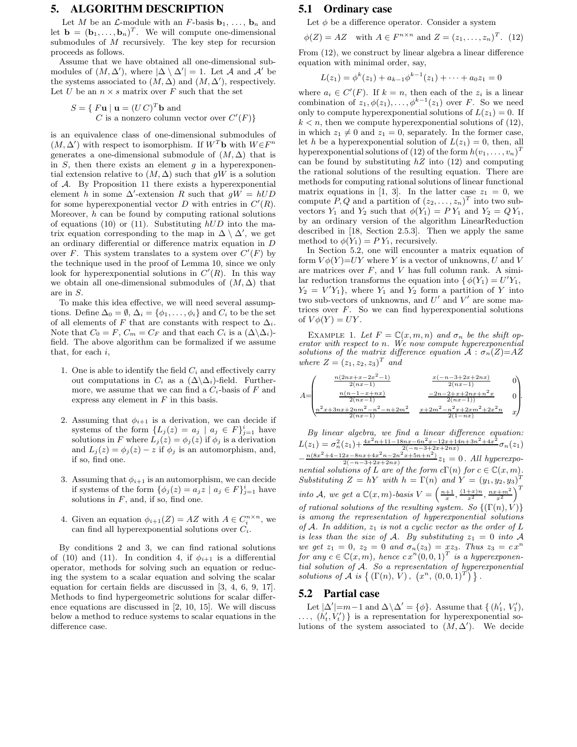#### **5. ALGORITHM DESCRIPTION**

Let M be an  $\mathcal{L}$ -module with an F-basis  $\mathbf{b}_1, \ldots, \mathbf{b}_n$  and let  $\mathbf{b} = (\mathbf{b}_1, \dots, \mathbf{b}_n)^T$ . We will compute one-dimensional submodules of M recursively. The key step for recursion proceeds as follows.

Assume that we have obtained all one-dimensional submodules of  $(M, \Delta')$ , where  $|\Delta \setminus \Delta'| = 1$ . Let A and A' be the systems associated to  $(M, \Delta)$  and  $(M, \Delta')$ , respectively. Let U be an  $n \times s$  matrix over F such that the set

$$
S = \{ \begin{array}{c} F\mathbf{u} \mid \mathbf{u} = (UC)^T \mathbf{b} \text{ and} \\ C \text{ is a nonzero column vector over } C'(F) \} \end{array}
$$

is an equivalence class of one-dimensional submodules of  $(M, \Delta')$  with respect to isomorphism. If  $W<sup>T</sup>$ b with  $W \in F<sup>n</sup>$ generates a one-dimensional submodule of  $(M, \Delta)$  that is in  $S$ , then there exists an element  $g$  in a hyperexponential extension relative to  $(M, \Delta)$  such that gW is a solution of A. By Proposition 11 there exists a hyperexponential element h in some  $\Delta'$ -extension R such that  $gW = hUD$ for some hyperexponential vector  $D$  with entries in  $C'(R)$ . Moreover,  $h$  can be found by computing rational solutions of equations (10) or (11). Substituting  $hUD$  into the matrix equation corresponding to the map in  $\Delta \setminus \Delta'$ , we get an ordinary differential or difference matrix equation in D over F. This system translates to a system over  $C'(F)$  by the technique used in the proof of Lemma 10, since we only look for hyperexponential solutions in  $C'(R)$ . In this way we obtain all one-dimensional submodules of  $(M, \Delta)$  that are in S.

To make this idea effective, we will need several assumptions. Define  $\Delta_0 = \emptyset$ ,  $\Delta_i = \{\phi_1, \ldots, \phi_i\}$  and  $C_i$  to be the set of all elements of F that are constants with respect to  $\Delta_i$ . Note that  $C_0 = F$ ,  $C_m = C_F$  and that each  $C_i$  is a  $(\Delta \setminus \Delta_i)$ field. The above algorithm can be formalized if we assume that, for each  $i$ ,

- 1. One is able to identify the field  $C_i$  and effectively carry out computations in  $C_i$  as a  $(\Delta \backslash \Delta_i)$ -field. Furthermore, we assume that we can find a  $C_i$ -basis of F and express any element in  $F$  in this basis.
- 2. Assuming that  $\phi_{i+1}$  is a derivation, we can decide if systems of the form  $\{L_j(z) = a_j \mid a_j \in F\}_{j=1}^i$  have solutions in F where  $L_j(z) = \phi_j(z)$  if  $\phi_j$  is a derivation and  $L_j(z) = \phi_j(z) - z$  if  $\phi_j$  is an automorphism, and, if so, find one.
- 3. Assuming that  $\phi_{i+1}$  is an automorphism, we can decide if systems of the form  $\{\phi_j(z) = a_j z \mid a_j \in F\}_{j=1}^i$  have solutions in  $F$ , and, if so, find one.
- 4. Given an equation  $\phi_{i+1}(Z) = AZ$  with  $A \in C_i^{n \times n}$ , we can find all hyperexponential solutions over  $C_i$ .

By conditions 2 and 3, we can find rational solutions of (10) and (11). In condition 4, if  $\phi_{i+1}$  is a differential operator, methods for solving such an equation or reducing the system to a scalar equation and solving the scalar equation for certain fields are discussed in [3, 4, 6, 9, 17]. Methods to find hypergeometric solutions for scalar difference equations are discussed in [2, 10, 15]. We will discuss below a method to reduce systems to scalar equations in the difference case.

### **5.1 Ordinary case**

Let  $\phi$  be a difference operator. Consider a system

$$
\phi(Z) = AZ \quad \text{with } A \in F^{n \times n} \text{ and } Z = (z_1, \dots, z_n)^T. \tag{12}
$$

From (12), we construct by linear algebra a linear difference equation with minimal order, say,

$$
L(z_1) = \phi^k(z_1) + a_{k-1}\phi^{k-1}(z_1) + \cdots + a_0z_1 = 0
$$

where  $a_i \in C'(F)$ . If  $k = n$ , then each of the  $z_i$  is a linear combination of  $z_1, \phi(z_1), \ldots, \phi^{k-1}(z_1)$  over F. So we need only to compute hyperexponential solutions of  $L(z_1) = 0$ . If  $k < n$ , then we compute hyperexponential solutions of (12), in which  $z_1 \neq 0$  and  $z_1 = 0$ , separately. In the former case, let h be a hyperexponential solution of  $L(z_1) = 0$ , then, all hyperexponential solutions of (12) of the form  $h(v_1, \ldots, v_n)^T$ can be found by substituting  $hZ$  into (12) and computing the rational solutions of the resulting equation. There are methods for computing rational solutions of linear functional matrix equations in [1, 3]. In the latter case  $z_1 = 0$ , we compute  $P, Q$  and a partition of  $(z_2, \ldots, z_n)^T$  into two subvectors  $Y_1$  and  $Y_2$  such that  $\phi(Y_1) = PY_1$  and  $Y_2 = QY_1$ , by an ordinary version of the algorithm LinearReduction described in [18, Section 2.5.3]. Then we apply the same method to  $\phi(Y_1) = P Y_1$ , recursively.

In Section 5.2, one will encounter a matrix equation of form  $V\phi(Y)=UY$  where Y is a vector of unknowns, U and V are matrices over  $F$ , and  $V$  has full column rank. A similar reduction transforms the equation into  $\oint \phi(Y_1) = U'Y_1$ ,  $Y_2 = V'Y_1$ , where  $Y_1$  and  $Y_2$  form a partition of Y into two sub-vectors of unknowns, and  $U'$  and  $V'$  are some matrices over  $F$ . So we can find hyperexponential solutions of  $V\phi(Y) = UY$ .

EXAMPLE 1. Let  $F = \mathbb{C}(x, m, n)$  and  $\sigma_n$  be the shift operator with respect to n. We now compute hyperexponential solutions of the matrix difference equation  $\tilde{A}$  :  $\sigma_n(Z)=AZ$ where  $Z = (z_1, z_2, z_3)^T$  and

$$
A = \begin{pmatrix} \frac{n(2nx + x - 2x^2 - 1)}{2(nx - 1)} & \frac{x(-n - 3 + 2x + 2nx)}{2(nx - 1)} & 0\\ \frac{n(n - 1 - x + nx)}{2(nx - 1)} & \frac{-2n - 2 + x + 2nx + n^2x}{2(nx - 1)} & 0\\ \frac{n^2x + 3nx + 2nn^2 - n^2 - n + 2m^2}{2(nx - 1)} & \frac{x + 2m^2 - n^2x + 2xn^2 + 2x^2n}{2(1 - nx)} & x \end{pmatrix}.
$$

By linear algebra, we find a linear difference equation:  $L(z_1) = \sigma_n^2(z_1) + \frac{4x^2n+11-18nx-6n^2x-12x+14n+3n^2+4x^2}{2(-n-3+2x+2nx)}$  $\frac{2(nx-6n^2x-12x+14n+3n^2+4x^2)}{2(-n-3+2x+2nx)}\sigma_n(z_1)$  $-\frac{n(8x^2+4-12x-8nx+4x^2n-2n^2x+5n+n^2)}{2(-n-3+2x+2nx)}z_1=0$ . All hyperexponential solutions of L are of the form  $c\Gamma(n)$  for  $c \in \mathbb{C}(x,m)$ .<br>Substituting  $Z = bY$  with  $b = \Gamma(n)$  and  $Y = (u, u, u)^T$ . Substituting  $Z = hY$  with  $h = \Gamma(n)$  and  $Y = (y_1, y_2, y_3)^T$ into A, we get a  $\mathbb{C}(x,m)$ -basis  $V = \left(\frac{n+1}{x}, \frac{(1+x)n}{x^2}, \frac{nx+m^2}{x^2}\right)^T$ of rational solutions of the resulting system. So  $\{(\Gamma(n), V)\}$ is among the representation of hyperexponential solutions of A. In addition,  $z_1$  is not a cyclic vector as the order of L is less than the size of A. By substituting  $z_1 = 0$  into A we get  $z_1 = 0$ ,  $z_2 = 0$  and  $\sigma_n(z_3) = xz_3$ . Thus  $z_3 = c x^n$ for any  $c \in \mathbb{C}(x,m)$ , hence  $cx^n(0,0,1)^T$  is a hyperexponential solution of A. So a representation of hyperexponential solutions of A is  $\{(\Gamma(n), V), (x^n, (0,0,1)^T)\}.$ 

#### **5.2 Partial case**

Let  $|\Delta'|=m-1$  and  $\Delta \backslash \Delta' = {\phi}$ . Assume that  $\{(h'_1, V'_1),$  $\ldots, (h'_t, V'_t)$  is a representation for hyperexponential solutions of the system associated to  $(M, \Delta')$ . We decide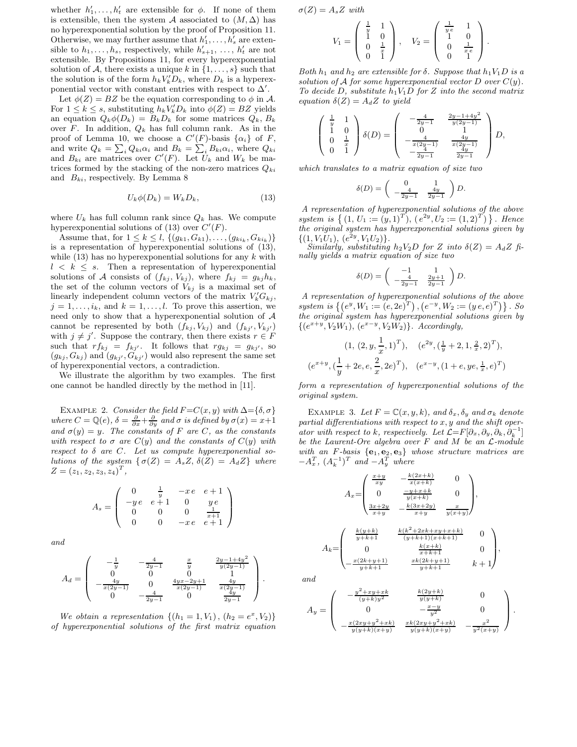whether  $h'_1, \ldots, h'_t$  are extensible for  $\phi$ . If none of them is extensible, then the system A associated to  $(M, \Delta)$  has no hyperexponential solution by the proof of Proposition 11. Otherwise, we may further assume that  $h'_1, \ldots, h'_s$  are extensible to  $h_1, \ldots, h_s$ , respectively, while  $h'_{s+1}, \ldots, h'_t$  are not extensible. By Propositions 11, for every hyperexponential solution of A, there exists a unique k in  $\{1, \ldots, s\}$  such that the solution is of the form  $h_k V_k'D_k$ , where  $D_k$  is a hyperexponential vector with constant entries with respect to  $\Delta'$ .

Let  $\phi(Z) = BZ$  be the equation corresponding to  $\phi$  in A. For  $1 \leq k \leq s$ , substituting  $h_k V_k'D_k$  into  $\phi(Z) = BZ$  yields an equation  $Q_k \phi(D_k) = B_k D_k$  for some matrices  $Q_k, B_k$ over F. In addition,  $Q_k$  has full column rank. As in the proof of Lemma 10, we choose a  $C'(F)$ -basis  $\{\alpha_i\}$  of F, and write  $Q_k = \sum_i Q_{ki} \alpha_i$  and  $B_k = \sum_i B_{ki} \alpha_i$ , where  $Q_{ki}$ and  $B_{ki}$  are matrices over  $C'(F)$ . Let  $U_k$  and  $W_k$  be matrices formed by the stacking of the non-zero matrices  $Q_{ki}$ and  $B_{ki}$ , respectively. By Lemma 8

$$
U_k \phi(D_k) = W_k D_k,\tag{13}
$$

where  $U_k$  has full column rank since  $Q_k$  has. We compute hyperexponential solutions of (13) over  $C'(F)$ .

Assume that, for  $1 \leq k \leq l$ ,  $\{(g_{k1}, G_{k1}), \ldots, (g_{ki_k}, G_{ki_k})\}$ is a representation of hyperexponential solutions of (13), while  $(13)$  has no hyperexponential solutions for any k with  $l \leq k \leq s$ . Then a representation of hyperexponential solutions of A consists of  $(f_{kj}, V_{kj})$ , where  $f_{kj} = g_{kj}h_k$ , the set of the column vectors of  $V_{kj}$  is a maximal set of linearly independent column vectors of the matrix  $V'_k G_{kj}$ ,  $j = 1, \ldots, i_k$ , and  $k = 1, \ldots, l$ . To prove this assertion, we need only to show that a hyperexponential solution of  $A$ cannot be represented by both  $(f_{kj}, V_{kj})$  and  $(f_{kj'}, V_{kj'})$ with  $j \neq j'$ . Suppose the contrary, then there exists  $r \in F$ such that  $rf_{kj} = f_{kj'}$ . It follows that  $rg_{kj} = g_{kj'}$ , so  $(g_{kj}, G_{kj})$  and  $(g_{kj'}, G_{kj'})$  would also represent the same set of hyperexponential vectors, a contradiction.

We illustrate the algorithm by two examples. The first one cannot be handled directly by the method in [11].

EXAMPLE 2. Consider the field  $F = C(x, y)$  with  $\Delta = {\delta, \sigma}$ where  $C = \mathbb{Q}(e)$ ,  $\delta = \frac{\partial}{\partial x} + \frac{\partial}{\partial y}$  and  $\sigma$  is defined by  $\sigma(x) = x+1$ and  $\sigma(y) = y$ . The constants of F are C, as the constants with respect to  $\sigma$  are  $C(y)$  and the constants of  $C(y)$  with respect to  $\delta$  are  $C$ . Let us compute hyperexponential solutions of the system  $\{\sigma(Z) = A_s Z, \delta(Z) = A_d Z\}$  where  $Z = (z_1, z_2, z_3, z_4)^T,$ 

$$
A_s = \left(\begin{array}{cccc} 0 & \frac{1}{y} & -xe & e+1 \\ -ye & e+1 & 0 & ye \\ 0 & 0 & 0 & \frac{1}{x+1} \\ 0 & 0 & -xe & e+1 \end{array}\right)
$$

and

$$
A_d = \begin{pmatrix} -\frac{1}{y} & -\frac{4}{2y-1} & \frac{x}{y} & \frac{2y-1+4y^2}{y(2y-1)} \\ 0 & 0 & 0 & 1 \\ -\frac{4y}{x(2y-1)} & 0 & \frac{4yx-2y+1}{x(2y-1)} & \frac{4y}{x(2y-1)} \\ 0 & -\frac{4}{2y-1} & 0 & \frac{4y}{2y-1} \end{pmatrix}.
$$

We obtain a representation  $\{(h_1 = 1, V_1), (h_2 = e^x, V_2)\}\$ of hyperexponential solutions of the first matrix equation  $\sigma(Z) = A_s Z$  with

$$
V_1 = \left(\begin{array}{cc} \frac{1}{y} & 1 \\ 1 & 0 \\ 0 & \frac{1}{x} \\ 0 & 1 \end{array}\right), \quad V_2 = \left(\begin{array}{cc} \frac{1}{y_e} & 1 \\ 1 & 0 \\ 0 & \frac{1}{x_e} \\ 0 & 1 \end{array}\right).
$$

Both  $h_1$  and  $h_2$  are extensible for  $\delta$ . Suppose that  $h_1V_1D$  is a solution of A for some hyperexponential vector D over  $C(y)$ . To decide D, substitute  $h_1V_1D$  for Z into the second matrix equation  $\delta(Z) = A_d Z$  to yield

$$
\left(\begin{array}{ccc} \frac{1}{y} & 1\\ 1 & 0\\ 0 & \frac{1}{x}\\ 0 & 1 \end{array}\right)\delta(D)=\left(\begin{array}{ccc} -\frac{4}{2y-1} & \frac{2y-1+4y^2}{y(2y-1)}\\ 0 & 1\\ -\frac{4}{x(2y-1)} & \frac{4y}{x(2y-1)}\\ -\frac{2y-1}{2y-1} & \frac{4y}{2y-1} \end{array}\right)D,
$$

which translates to a matrix equation of size two

$$
\delta(D) = \begin{pmatrix} 0 & 1 \\ -\frac{4}{2y-1} & \frac{4y}{2y-1} \end{pmatrix} D.
$$

A representation of hyperexponential solutions of the above system is  $\{(1, U_1 := (y, 1)^T), (e^{2y}, U_2 := (1, 2)^T)\}\.$  Hence the original system has hyperexponential solutions given by  $\{(1, V_1U_1), (e^{2y}, V_1U_2)\}.$ 

Similarly, substituting  $h_2V_2D$  for Z into  $\delta(Z) = A_dZ$  finally yields a matrix equation of size two

$$
\delta(D) = \begin{pmatrix} -1 & 1 \\ -\frac{4}{2y-1} & \frac{2y+1}{2y-1} \end{pmatrix} D.
$$

A representation of hyperexponential solutions of the above system is  $\{(e^y, W_1 := (e, 2e)^T), (e^{-y}, W_2 := (y e, e)^T)\}\.$  So the original system has hyperexponential solutions given by  $\{(e^{x+y}, V_2W_1), (e^{x-y}, V_2W_2)\}.$  Accordingly,

$$
(1, (2, y, \frac{1}{x}, 1)^T), \quad (e^{2y}, (\frac{1}{y} + 2, 1, \frac{2}{x}, 2)^T),
$$
  

$$
(e^{x+y}, (\frac{1}{y} + 2e, e, \frac{2}{x}, 2e)^T), \quad (e^{x-y}, (1+e, ye, \frac{1}{x}, e)^T)
$$

form a representation of hyperexponential solutions of the original system.

EXAMPLE 3. Let  $F = \mathbb{C}(x, y, k)$ , and  $\delta_x, \delta_y$  and  $\sigma_k$  denote partial differentiations with respect to  $x, y$  and the shift operator with respect to k, respectively. Let  $\mathcal{L} = F[\partial_x, \partial_y, \partial_k, \partial_k^{-1}]$ be the Laurent-Ore algebra over F and M be an L-module with an F-basis  ${e_1, e_2, e_3}$  whose structure matrices are  $-A_x^T$ ,  $(A_k^{-1})^T$  and  $-A_y^T$  where

$$
A_x = \begin{pmatrix} \frac{x+y}{xy} & -\frac{k(2x+k)}{x(x+k)} & 0\\ 0 & \frac{-y+x+k}{y(x+k)} & 0\\ \frac{3x+2y}{x+y} & -\frac{k(3x+2y)}{x+y} & \frac{x}{y(x+y)} \end{pmatrix},
$$
\n
$$
\begin{pmatrix} \frac{k(y+k)}{y+k+1} & \frac{k(k^2+2xk+xy+x+k)}{(y+k+1)(x+k+1)} & 0 \end{pmatrix}
$$

 $k(x+k)$ 

 $xk(2k+y+1)$ 

 $\frac{\kappa(x+\kappa)}{x+k+1}$  0

 $\frac{(2k+y+1)}{y+k+1}$   $k+1$ 

 $\setminus$ 

 $\Big\}$ 

and

 $A_k=$ 

 $\parallel$ 

−

 $\boldsymbol{0}$ 

 $x(2k+y+1)$  $y+k+1$ 

$$
A_y = \begin{pmatrix} -\frac{y^2 + xy + xk}{(y+k)y^2} & \frac{k(2y+k)}{y(y+k)} & 0\\ 0 & -\frac{x-y}{y^2} & 0\\ -\frac{x(2xy + y^2 + xk)}{y(y+k)(x+y)} & \frac{xk(2xy + y^2 + xk)}{y(y+k)(x+y)} & -\frac{x^2}{y^2(x+y)} \end{pmatrix}.
$$